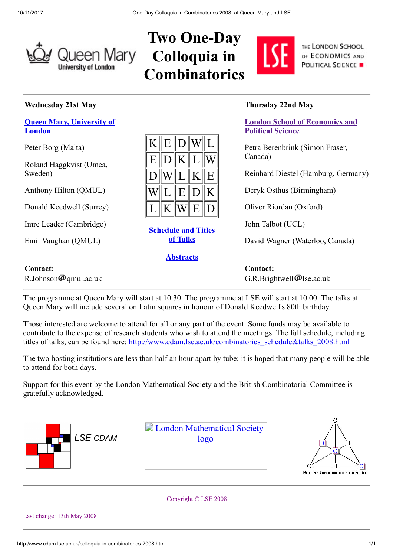

# Two One-Day Colloquia in **Combinatorics**



THE LONDON SCHOOL OF ECONOMICS AND **POLITICAL SCIENCE .** 

#### Wednesday 21st May

#### [Queen Mary, University of](http://www.maths.qmul.ac.uk/) London

Peter Borg (Malta)

Roland Haggkvist (Umea, Sweden)

Anthony Hilton (QMUL)

Donald Keedwell (Surrey)

Imre Leader (Cambridge)

Emil Vaughan (QMUL)

R.Johnson  $@$  qmul.ac.uk

Contact:

|              |                |                                                    | $KE$ DWL                                        |                                                                                |
|--------------|----------------|----------------------------------------------------|-------------------------------------------------|--------------------------------------------------------------------------------|
|              |                | $E\ D\ K\ L$                                       |                                                 |                                                                                |
| D            |                |                                                    | $\mathbb{W} \mathbb{L} \mathbb{K} \mathbb{E}$ . |                                                                                |
|              |                | $\mathbf{W}\ \mathbf{L}\ \mathbf{E}\ \mathbf{D}\ $ |                                                 | K                                                                              |
| $\mathbf{L}$ | K <sup>2</sup> | $W\ E$                                             |                                                 | $\ {\rm D}% \Bbb{H}^{2} \times{\rm D}\lambda_{\rm B} \ =\ {\rm D}_{\Bbb{H}}\ $ |

## [Schedule and Titles](http://www.cdam.lse.ac.uk/combinatorics_schedule&talks_2008.html) of Talks

### **[Abstracts](http://www.cdam.lse.ac.uk/odcc.abstracts.pdf)**

### Thursday 22nd May

[London School of Economics and](http://www.maths.lse.ac.uk/) Political Science

Petra Berenbrink (Simon Fraser, Canada)

Reinhard Diestel (Hamburg, Germany)

Deryk Osthus (Birmingham)

Oliver Riordan (Oxford)

John Talbot (UCL)

David Wagner (Waterloo, Canada)

Contact:  $G.R.Brightwell@lse.ac.uk$ 

The programme at Queen Mary will start at 10.30. The programme at LSE will start at 10.00. The talks at Queen Mary will include several on Latin squares in honour of Donald Keedwell's 80th birthday.

Those interested are welcome to attend for all or any part of the event. Some funds may be available to contribute to the expense of research students who wish to attend the meetings. The full schedule, including titles of talks, can be found here: [http://www.cdam.lse.ac.uk/combinatorics\\_schedule&talks\\_2008.html](http://www.cdam.lse.ac.uk/combinatorics_schedule&talks_2008.html)

The two hosting institutions are less than half an hour apart by tube; it is hoped that many people will be able to attend for both days.

Support for this event by the London Mathematical Society and the British Combinatorial Committee is gratefully acknowledged.



Copyright © LSE 2008

Last change: 13th May 2008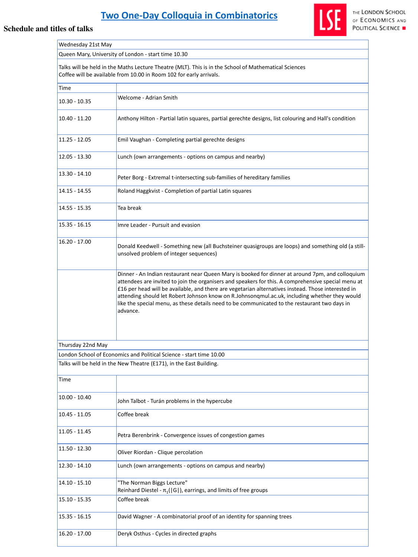# **[Two One-Day Colloquia in Combinatorics](http://www.cdam.lse.ac.uk/colloquia-in-combinatorics-2008.html)**

| Wednesday 21st May |                                                                                                                                                                                                                                                                                                                                                                                                                                                                                                                             |  |
|--------------------|-----------------------------------------------------------------------------------------------------------------------------------------------------------------------------------------------------------------------------------------------------------------------------------------------------------------------------------------------------------------------------------------------------------------------------------------------------------------------------------------------------------------------------|--|
|                    | Queen Mary, University of London - start time 10.30                                                                                                                                                                                                                                                                                                                                                                                                                                                                         |  |
|                    | Talks will be held in the Maths Lecture Theatre (MLT). This is in the School of Mathematical Sciences<br>Coffee will be available from 10.00 in Room 102 for early arrivals.                                                                                                                                                                                                                                                                                                                                                |  |
| <b>Time</b>        |                                                                                                                                                                                                                                                                                                                                                                                                                                                                                                                             |  |
| $10.30 - 10.35$    | <b>Welcome - Adrian Smith</b>                                                                                                                                                                                                                                                                                                                                                                                                                                                                                               |  |
| $10.40 - 11.20$    | Anthony Hilton - Partial latin squares, partial gerechte designs, list colouring and Hall's condition                                                                                                                                                                                                                                                                                                                                                                                                                       |  |
| $11.25 - 12.05$    | Emil Vaughan - Completing partial gerechte designs                                                                                                                                                                                                                                                                                                                                                                                                                                                                          |  |
| $12.05 - 13.30$    | Lunch (own arrangements - options on campus and nearby)                                                                                                                                                                                                                                                                                                                                                                                                                                                                     |  |
| $13.30 - 14.10$    | Peter Borg - Extremal t-intersecting sub-families of hereditary families                                                                                                                                                                                                                                                                                                                                                                                                                                                    |  |
| 14.15 - 14.55      | Roland Haggkvist - Completion of partial Latin squares                                                                                                                                                                                                                                                                                                                                                                                                                                                                      |  |
| 14.55 - 15.35      | Tea break                                                                                                                                                                                                                                                                                                                                                                                                                                                                                                                   |  |
| $15.35 - 16.15$    | Imre Leader - Pursuit and evasion                                                                                                                                                                                                                                                                                                                                                                                                                                                                                           |  |
| $16.20 - 17.00$    | Donald Keedwell - Something new (all Buchsteiner quasigroups are loops) and something old (a still-<br>unsolved problem of integer sequences)                                                                                                                                                                                                                                                                                                                                                                               |  |
|                    | Dinner - An Indian restaurant near Queen Mary is booked for dinner at around 7pm, and colloquium<br>attendees are invited to join the organisers and speakers for this. A comprehensive special menu at<br>£16 per head will be available, and there are vegetarian alternatives instead. Those interested in<br>attending should let Robert Johnson know on R.Johnsonqmul.ac.uk, including whether they would<br>like the special menu, as these details need to be communicated to the restaurant two days in<br>advance. |  |
| Thursday 22nd May  |                                                                                                                                                                                                                                                                                                                                                                                                                                                                                                                             |  |
|                    | London School of Economics and Political Science - start time 10.00                                                                                                                                                                                                                                                                                                                                                                                                                                                         |  |
|                    | Talks will be held in the New Theatre (E171), in the East Building.                                                                                                                                                                                                                                                                                                                                                                                                                                                         |  |
| <b>Time</b>        |                                                                                                                                                                                                                                                                                                                                                                                                                                                                                                                             |  |

| $10.00 - 10.40$ | John Talbot - Turán problems in the hypercube                                                       |
|-----------------|-----------------------------------------------------------------------------------------------------|
| $10.45 - 11.05$ | Coffee break                                                                                        |
| $11.05 - 11.45$ | Petra Berenbrink - Convergence issues of congestion games                                           |
| $11.50 - 12.30$ | Oliver Riordan - Clique percolation                                                                 |
| $12.30 - 14.10$ | Lunch (own arrangements - options on campus and nearby)                                             |
| $14.10 - 15.10$ | "The Norman Biggs Lecture"<br>Reinhard Diestel - $\pi_1( G )$ , earrings, and limits of free groups |
| $15.10 - 15.35$ | Coffee break                                                                                        |
| $15.35 - 16.15$ | David Wagner - A combinatorial proof of an identity for spanning trees                              |
| $16.20 - 17.00$ | Deryk Osthus - Cycles in directed graphs                                                            |





THE LONDON SCHOOL OF ECONOMICS AND POLITICAL SCIENCE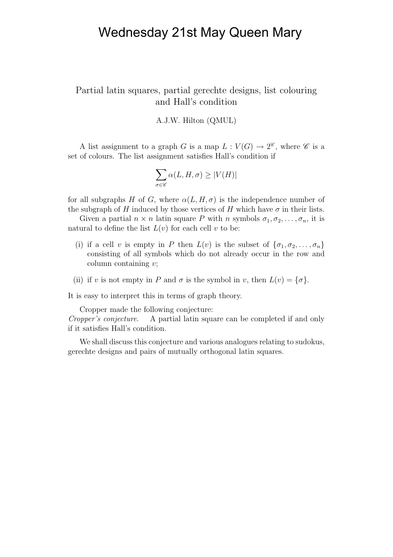## Wednesday 21st May Queen Mary

#### Partial latin squares, partial gerechte designs, list colouring and Hall's condition

#### A.J.W. Hilton (QMUL)

A list assignment to a graph G is a map  $L: V(G) \to 2^{\mathscr{C}}$ , where  $\mathscr{C}$  is a set of colours. The list assignment satisfies Hall's condition if

$$
\sum_{\sigma\in\mathscr{C}}\alpha(L,H,\sigma)\geq |V(H)|
$$

for all subgraphs H of G, where  $\alpha(L, H, \sigma)$  is the independence number of the subgraph of H induced by those vertices of H which have  $\sigma$  in their lists.

Given a partial  $n \times n$  latin square P with n symbols  $\sigma_1, \sigma_2, \ldots, \sigma_n$ , it is natural to define the list  $L(v)$  for each cell v to be:

- (i) if a cell v is empty in P then  $L(v)$  is the subset of  $\{\sigma_1, \sigma_2, \ldots, \sigma_n\}$ consisting of all symbols which do not already occur in the row and column containing v;
- (ii) if v is not empty in P and  $\sigma$  is the symbol in v, then  $L(v) = {\sigma}.$

It is easy to interpret this in terms of graph theory.

Cropper made the following conjecture:

Cropper's conjecture. A partial latin square can be completed if and only if it satisfies Hall's condition.

We shall discuss this conjecture and various analogues relating to sudokus, gerechte designs and pairs of mutually orthogonal latin squares.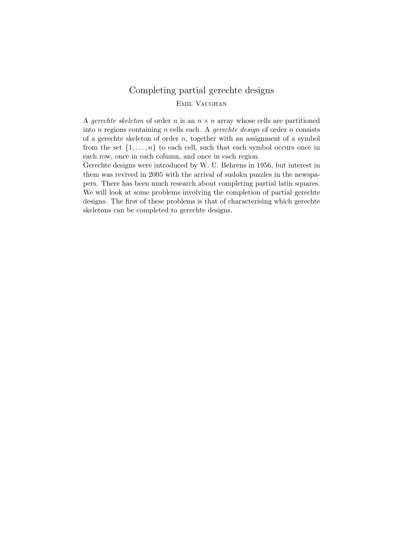## Completing partial gerechte designs Emil Vaughan

A gerechte skeleton of order n is an  $n \times n$  array whose cells are partitioned into n regions containing n cells each. A *gerechte design* of order n consists of a gerechte skeleton of order  $n$ , together with an assignment of a symbol from the set  $\{1,\ldots,n\}$  to each cell, such that each symbol occurs once in each row, once in each column, and once in each region.

Gerechte designs were introduced by W. U. Behrens in 1956, but interest in them was revived in 2005 with the arrival of sudoku puzzles in the newspapers. There has been much research about completing partial latin squares. We will look at some problems involving the completion of partial gerechte designs. The first of these problems is that of characterising which gerechte skeletons can be completed to gerechte designs.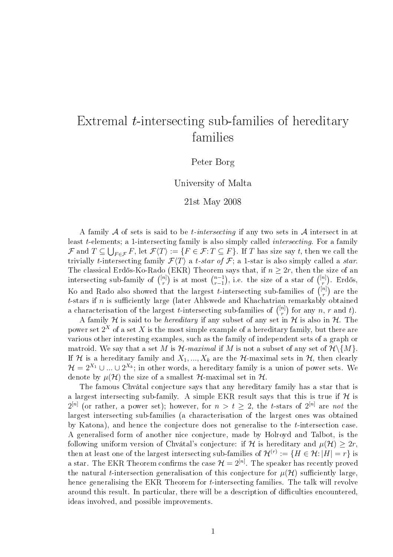## Extremal  $t$ -intersecting sub-families of hereditary families

#### Peter Borg

University of Malta

#### 21st May 2008

A family  $A$  of sets is said to be *t*-intersecting if any two sets in  $A$  intersect in at least t-elements; a 1-intersecting family is also simply called intersecting. For a family  ${\cal F}$  and  $T\subseteq \bigcup_{F\in{\cal F}} F,$  let  ${\cal F}\langle T\rangle:=\{F\in{\cal F}\hbox{:}\, T\subseteq F\}.$  If  $T$  has size say  $t,$  then we call the trivially t-intersecting family  $\mathcal{F}\langle T\rangle$  a t-star of  $\mathcal{F}$ ; a 1-star is also simply called a star. The classical Erdős-Ko-Rado (EKR) Theorem says that, if  $n \geq 2r$ , then the size of an intersecting sub-family of  $\binom{[n]}{r}$  is at most  $\binom{n-1}{r-1}$  $\overline{r-1}$ , i.e. the size of a star of  $\binom{[n]}{r}$ . Erdős, Ko and Rado also showed that the largest *t*-intersecting sub-families of  $\binom{[n]}{r}$  are the t-stars if n is sufficiently large (later Ahlswede and Khachatrian remarkably obtained a characterisation of the largest *t*-intersecting sub-families of  $\binom{[n]}{r}$  for any n, r and t).

A family H is said to be *hereditary* if any subset of any set in H is also in H. The power set  $2^X$  of a set  $X$  is the most simple example of a hereditary family, but there are various other interesting examples, such as the family of independent sets of a graph or matroid. We say that a set M is  $\mathcal{H}\text{-}maximal$  if M is not a subset of any set of  $\mathcal{H}\backslash\{M\}$ . If H is a hereditary family and  $X_1, ..., X_k$  are the H-maximal sets in H, then clearly  $\mathcal{H}=2^{X_1}\cup...\cup 2^{X_k};$  in other words, a hereditary family is a union of power sets. We denote by  $\mu(\mathcal{H})$  the size of a smallest  $\mathcal{H}$ -maximal set in  $\mathcal{H}$ .

The famous Chvátal conjecture says that any hereditary family has a star that is a largest intersecting sub-family. A simple EKR result says that this is true if  $H$  is  $2^{[n]}$  (or rather, a power set); however, for  $n > t \geq 2$ , the t-stars of  $2^{[n]}$  are not the largest intersecting sub-families (a characterisation of the largest ones was obtained by Katona), and hence the conjecture does not generalise to the t-intersection case. A generalised form of another nice conjecture, made by Holroyd and Talbot, is the following uniform version of Chvátal's conjecture: if H is hereditary and  $\mu(\mathcal{H}) \geq 2r$ , then at least one of the largest intersecting sub-families of  $\mathcal{H}^{(r)}:=\{H\in\mathcal{H}:|H|=r\}$  is a star. The EKR Theorem confirms the case  $\mathcal{H} = 2^{[n]}$ . The speaker has recently proved the natural *t*-intersection generalisation of this conjecture for  $\mu(\mathcal{H})$  sufficiently large. hence generalising the EKR Theorem for *t*-intersecting families. The talk will revolve around this result. In particular, there will be a description of difficulties encountered, ideas involved, and possible improvements.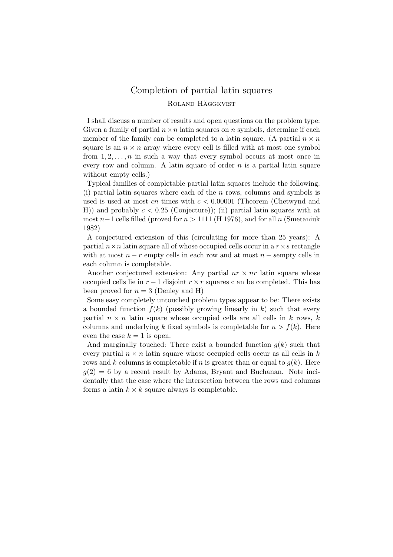## Completion of partial latin squares ROLAND HÄGGKVIST

I shall discuss a number of results and open questions on the problem type: Given a family of partial  $n \times n$  latin squares on n symbols, determine if each member of the family can be completed to a latin square. (A partial  $n \times n$ square is an  $n \times n$  array where every cell is filled with at most one symbol from  $1, 2, \ldots, n$  in such a way that every symbol occurs at most once in every row and column. A latin square of order  $n$  is a partial latin square without empty cells.)

Typical families of completable partial latin squares include the following: (i) partial latin squares where each of the  $n$  rows, columns and symbols is used is used at most cn times with  $c < 0.00001$  (Theorem (Chetwynd and H)) and probably  $c < 0.25$  (Conjecture)); (ii) partial latin squares with at most n−1 cells filled (proved for  $n > 1111$  (H 1976), and for all n (Smetaniuk 1982)

A conjectured extension of this (circulating for more than 25 years): A partial  $n \times n$  latin square all of whose occupied cells occur in a  $r \times s$  rectangle with at most  $n - r$  empty cells in each row and at most  $n -$  sempty cells in each column is completable.

Another conjectured extension: Any partial  $nr \times nr$  latin square whose occupied cells lie in  $r-1$  disjoint  $r \times r$  squares c an be completed. This has been proved for  $n = 3$  (Denley and H)

Some easy completely untouched problem types appear to be: There exists a bounded function  $f(k)$  (possibly growing linearly in k) such that every partial  $n \times n$  latin square whose occupied cells are all cells in k rows, k columns and underlying k fixed symbols is completable for  $n > f(k)$ . Here even the case  $k = 1$  is open.

And marginally touched: There exist a bounded function  $q(k)$  such that every partial  $n \times n$  latin square whose occupied cells occur as all cells in k rows and k columns is completable if n is greater than or equal to  $g(k)$ . Here  $g(2) = 6$  by a recent result by Adams, Bryant and Buchanan. Note incidentally that the case where the intersection between the rows and columns forms a latin  $k \times k$  square always is completable.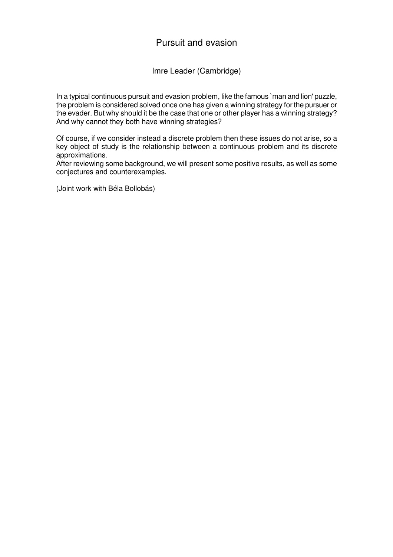## Pursuit and evasion

Imre Leader (Cambridge)

In a typical continuous pursuit and evasion problem, like the famous `man and lion' puzzle, the problem is considered solved once one has given a winning strategy for the pursuer or the evader. But why should it be the case that one or other player has a winning strategy? And why cannot they both have winning strategies?

Of course, if we consider instead a discrete problem then these issues do not arise, so a key object of study is the relationship between a continuous problem and its discrete approximations.

After reviewing some background, we will present some positive results, as well as some conjectures and counterexamples.

(Joint work with Béla Bollobás)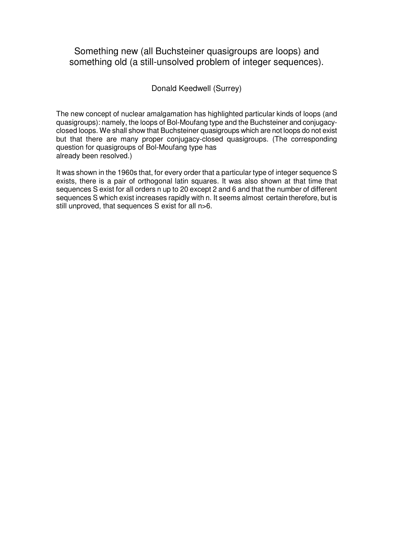## Something new (all Buchsteiner quasigroups are loops) and something old (a still-unsolved problem of integer sequences).

#### Donald Keedwell (Surrey)

The new concept of nuclear amalgamation has highlighted particular kinds of loops (and quasigroups): namely, the loops of Bol-Moufang type and the Buchsteiner and conjugacyclosed loops. We shall show that Buchsteiner quasigroups which are not loops do not exist but that there are many proper conjugacy-closed quasigroups. (The corresponding question for quasigroups of Bol-Moufang type has already been resolved.)

It was shown in the 1960s that, for every order that a particular type of integer sequence S exists, there is a pair of orthogonal latin squares. It was also shown at that time that sequences S exist for all orders n up to 20 except 2 and 6 and that the number of different sequences S which exist increases rapidly with n. It seems almost certain therefore, but is still unproved, that sequences S exist for all n>6.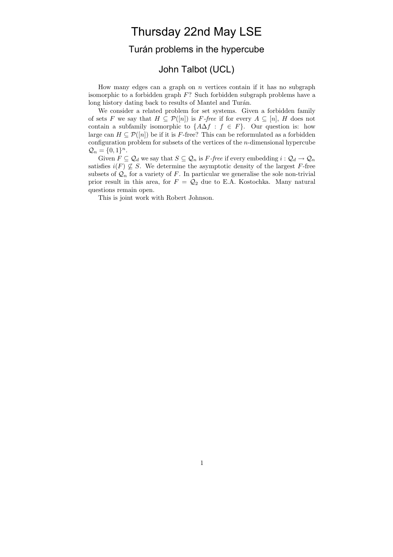## Thursday 22nd May LSE

### Turán problems in the hypercube

### John Talbot (UCL)

How many edges can a graph on  $n$  vertices contain if it has no subgraph isomorphic to a forbidden graph  $F$ ? Such forbidden subgraph problems have a long history dating back to results of Mantel and Turán.

We consider a related problem for set systems. Given a forbidden family of sets F we say that  $H \subseteq \mathcal{P}([n])$  is F-free if for every  $A \subseteq [n]$ , H does not contain a subfamily isomorphic to  $\{A\Delta f : f \in F\}$ . Our question is: how large can  $H \subseteq \mathcal{P}([n])$  be if it is F-free? This can be reformulated as a forbidden configuration problem for subsets of the vertices of the n-dimensional hypercube  $Q_n = \{0,1\}^n$ .

Given  $F \subseteq Q_d$  we say that  $S \subseteq Q_n$  is F-free if every embedding  $i: Q_d \to Q_n$ satisfies  $i(F) \nsubseteq S$ . We determine the asymptotic density of the largest F-free subsets of  $\mathcal{Q}_n$  for a variety of F. In particular we generalise the sole non-trivial prior result in this area, for  $F = \mathcal{Q}_2$  due to E.A. Kostochka. Many natural questions remain open.

This is joint work with Robert Johnson.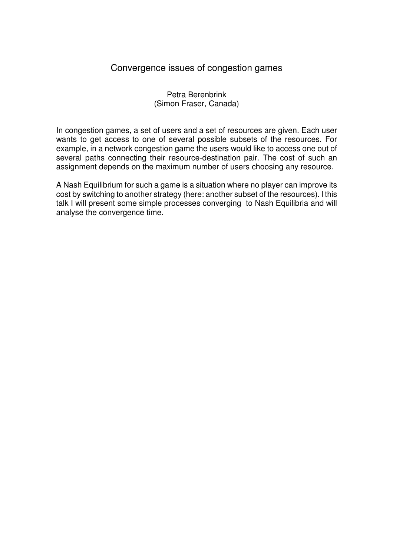## Convergence issues of congestion games

#### Petra Berenbrink (Simon Fraser, Canada)

In congestion games, a set of users and a set of resources are given. Each user wants to get access to one of several possible subsets of the resources. For example, in a network congestion game the users would like to access one out of several paths connecting their resource-destination pair. The cost of such an assignment depends on the maximum number of users choosing any resource.

A Nash Equilibrium for such a game is a situation where no player can improve its cost by switching to another strategy (here: another subset of the resources). I this talk I will present some simple processes converging to Nash Equilibria and will analyse the convergence time.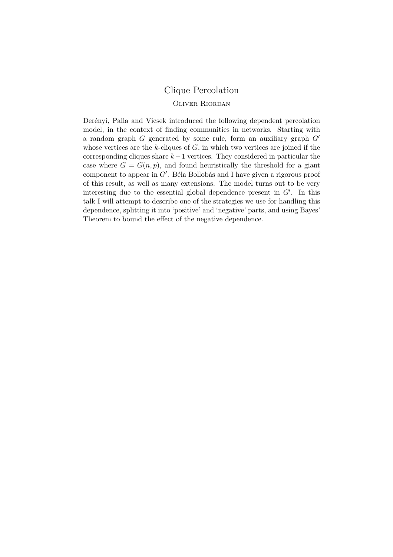## Clique Percolation

#### Oliver Riordan

Derényi, Palla and Vicsek introduced the following dependent percolation model, in the context of finding communities in networks. Starting with a random graph  $G$  generated by some rule, form an auxiliary graph  $G'$ whose vertices are the  $k$ -cliques of  $G$ , in which two vertices are joined if the corresponding cliques share  $k-1$  vertices. They considered in particular the case where  $G = G(n, p)$ , and found heuristically the threshold for a giant component to appear in  $G'$ . Béla Bollobás and I have given a rigorous proof of this result, as well as many extensions. The model turns out to be very interesting due to the essential global dependence present in  $G'$ . In this talk I will attempt to describe one of the strategies we use for handling this dependence, splitting it into 'positive' and 'negative' parts, and using Bayes' Theorem to bound the effect of the negative dependence.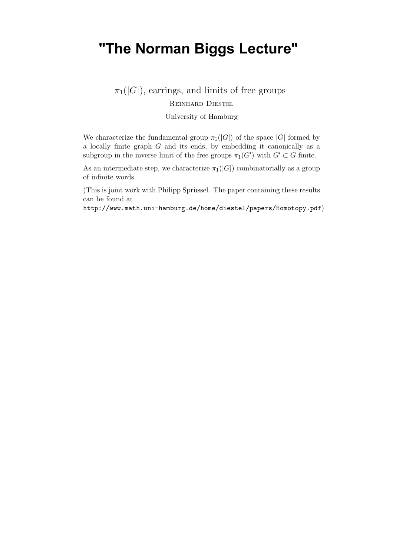## **"The Norman Biggs Lecture"**

 $\pi_1(|G|)$ , earrings, and limits of free groups

Reinhard Diestel

University of Hamburg

We characterize the fundamental group  $\pi_1(|G|)$  of the space  $|G|$  formed by a locally finite graph G and its ends, by embedding it canonically as a subgroup in the inverse limit of the free groups  $\pi_1(G')$  with  $G' \subset G$  finite.

As an intermediate step, we characterize  $\pi_1(|G|)$  combinatorially as a group of infinite words.

(This is joint work with Philipp Sprüssel. The paper containing these results can be found at

http://www.math.uni-hamburg.de/home/diestel/papers/Homotopy.pdf)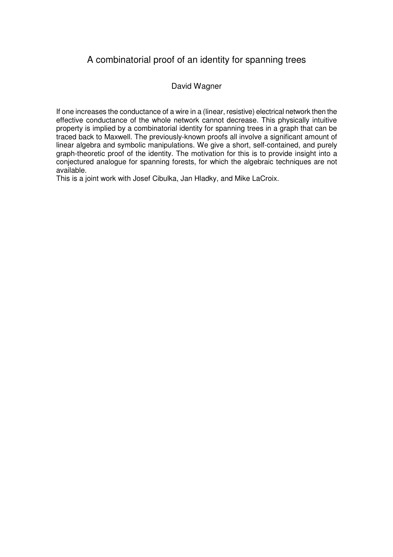## A combinatorial proof of an identity for spanning trees

#### David Wagner

If one increases the conductance of a wire in a (linear, resistive) electrical network then the effective conductance of the whole network cannot decrease. This physically intuitive property is implied by a combinatorial identity for spanning trees in a graph that can be traced back to Maxwell. The previously-known proofs all involve a significant amount of linear algebra and symbolic manipulations. We give a short, self-contained, and purely graph-theoretic proof of the identity. The motivation for this is to provide insight into a conjectured analogue for spanning forests, for which the algebraic techniques are not available.

This is a joint work with Josef Cibulka, Jan Hladky, and Mike LaCroix.